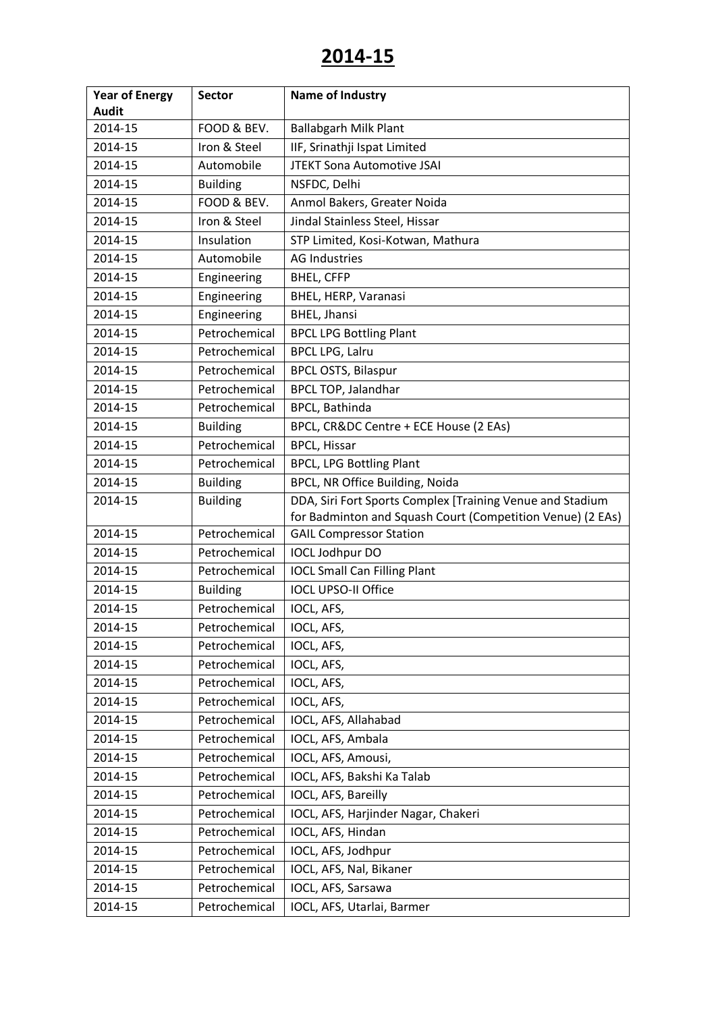| <b>Year of Energy</b> | <b>Sector</b>   | Name of Industry                                           |
|-----------------------|-----------------|------------------------------------------------------------|
| <b>Audit</b>          |                 |                                                            |
| 2014-15               | FOOD & BEV.     | <b>Ballabgarh Milk Plant</b>                               |
| 2014-15               | Iron & Steel    | IIF, Srinathji Ispat Limited                               |
| 2014-15               | Automobile      | JTEKT Sona Automotive JSAI                                 |
| 2014-15               | <b>Building</b> | NSFDC, Delhi                                               |
| 2014-15               | FOOD & BEV.     | Anmol Bakers, Greater Noida                                |
| 2014-15               | Iron & Steel    | Jindal Stainless Steel, Hissar                             |
| 2014-15               | Insulation      | STP Limited, Kosi-Kotwan, Mathura                          |
| 2014-15               | Automobile      | <b>AG Industries</b>                                       |
| 2014-15               | Engineering     | <b>BHEL, CFFP</b>                                          |
| 2014-15               | Engineering     | BHEL, HERP, Varanasi                                       |
| 2014-15               | Engineering     | <b>BHEL, Jhansi</b>                                        |
| 2014-15               | Petrochemical   | <b>BPCL LPG Bottling Plant</b>                             |
| 2014-15               | Petrochemical   | <b>BPCL LPG, Lalru</b>                                     |
| 2014-15               | Petrochemical   | <b>BPCL OSTS, Bilaspur</b>                                 |
| 2014-15               | Petrochemical   | <b>BPCL TOP, Jalandhar</b>                                 |
| 2014-15               | Petrochemical   | <b>BPCL, Bathinda</b>                                      |
| 2014-15               | <b>Building</b> | BPCL, CR&DC Centre + ECE House (2 EAs)                     |
| 2014-15               | Petrochemical   | <b>BPCL, Hissar</b>                                        |
| 2014-15               | Petrochemical   | <b>BPCL, LPG Bottling Plant</b>                            |
| 2014-15               | <b>Building</b> | BPCL, NR Office Building, Noida                            |
| 2014-15               | <b>Building</b> | DDA, Siri Fort Sports Complex [Training Venue and Stadium  |
|                       |                 | for Badminton and Squash Court (Competition Venue) (2 EAs) |
| 2014-15               | Petrochemical   | <b>GAIL Compressor Station</b>                             |
| 2014-15               | Petrochemical   | IOCL Jodhpur DO                                            |
| 2014-15               | Petrochemical   | <b>IOCL Small Can Filling Plant</b>                        |
| 2014-15               | <b>Building</b> | <b>IOCL UPSO-II Office</b>                                 |
| 2014-15               | Petrochemical   | IOCL, AFS,                                                 |
| 2014-15               | Petrochemical   | IOCL, AFS,                                                 |
| 2014-15               | Petrochemical   | IOCL, AFS,                                                 |
| 2014-15               | Petrochemical   | IOCL, AFS,                                                 |
| 2014-15               | Petrochemical   | IOCL, AFS,                                                 |
| 2014-15               | Petrochemical   | IOCL, AFS,                                                 |
| 2014-15               | Petrochemical   | IOCL, AFS, Allahabad                                       |
| 2014-15               | Petrochemical   | IOCL, AFS, Ambala                                          |
| 2014-15               | Petrochemical   | IOCL, AFS, Amousi,                                         |
| 2014-15               | Petrochemical   | IOCL, AFS, Bakshi Ka Talab                                 |
| 2014-15               | Petrochemical   | IOCL, AFS, Bareilly                                        |
| 2014-15               | Petrochemical   | IOCL, AFS, Harjinder Nagar, Chakeri                        |
| 2014-15               | Petrochemical   | IOCL, AFS, Hindan                                          |
| 2014-15               | Petrochemical   | IOCL, AFS, Jodhpur                                         |
| 2014-15               | Petrochemical   | IOCL, AFS, Nal, Bikaner                                    |
| 2014-15               | Petrochemical   | IOCL, AFS, Sarsawa                                         |
| 2014-15               | Petrochemical   | IOCL, AFS, Utarlai, Barmer                                 |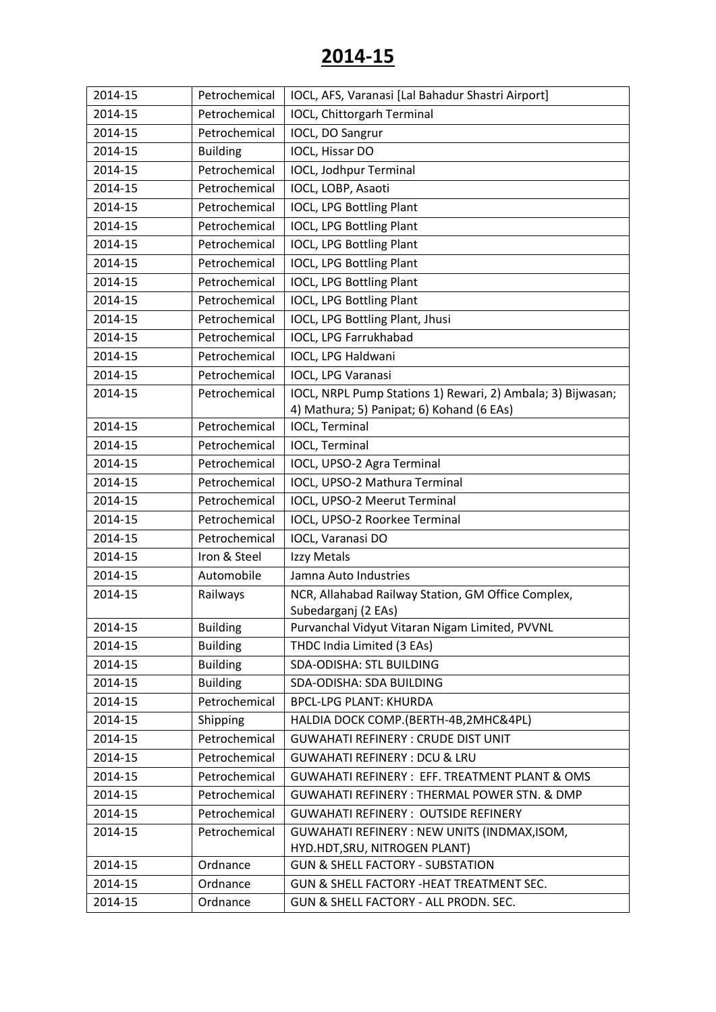| IOCL, Chittorgarh Terminal<br>2014-15<br>Petrochemical                                           |  |
|--------------------------------------------------------------------------------------------------|--|
|                                                                                                  |  |
| 2014-15<br>Petrochemical<br>IOCL, DO Sangrur                                                     |  |
| IOCL, Hissar DO<br>2014-15<br><b>Building</b>                                                    |  |
| 2014-15<br>Petrochemical<br>IOCL, Jodhpur Terminal                                               |  |
| 2014-15<br>Petrochemical<br>IOCL, LOBP, Asaoti                                                   |  |
| IOCL, LPG Bottling Plant<br>2014-15<br>Petrochemical                                             |  |
| Petrochemical<br><b>IOCL, LPG Bottling Plant</b><br>2014-15                                      |  |
| 2014-15<br>Petrochemical<br>IOCL, LPG Bottling Plant                                             |  |
| 2014-15<br>Petrochemical<br>IOCL, LPG Bottling Plant                                             |  |
| 2014-15<br>Petrochemical<br><b>IOCL, LPG Bottling Plant</b>                                      |  |
| 2014-15<br>Petrochemical<br>IOCL, LPG Bottling Plant                                             |  |
| 2014-15<br>Petrochemical<br>IOCL, LPG Bottling Plant, Jhusi                                      |  |
| IOCL, LPG Farrukhabad<br>2014-15<br>Petrochemical                                                |  |
| 2014-15<br>Petrochemical<br>IOCL, LPG Haldwani                                                   |  |
| 2014-15<br>Petrochemical<br>IOCL, LPG Varanasi                                                   |  |
| 2014-15<br>IOCL, NRPL Pump Stations 1) Rewari, 2) Ambala; 3) Bijwasan;<br>Petrochemical          |  |
| 4) Mathura; 5) Panipat; 6) Kohand (6 EAs)                                                        |  |
| 2014-15<br>Petrochemical<br>IOCL, Terminal                                                       |  |
| <b>IOCL, Terminal</b><br>2014-15<br>Petrochemical                                                |  |
| 2014-15<br>Petrochemical<br>IOCL, UPSO-2 Agra Terminal                                           |  |
| 2014-15<br>IOCL, UPSO-2 Mathura Terminal<br>Petrochemical                                        |  |
| IOCL, UPSO-2 Meerut Terminal<br>2014-15<br>Petrochemical                                         |  |
| 2014-15<br>Petrochemical<br>IOCL, UPSO-2 Roorkee Terminal                                        |  |
| 2014-15<br>IOCL, Varanasi DO<br>Petrochemical                                                    |  |
| Iron & Steel<br>2014-15<br>Izzy Metals                                                           |  |
| 2014-15<br>Automobile<br>Jamna Auto Industries                                                   |  |
| 2014-15<br>NCR, Allahabad Railway Station, GM Office Complex,<br>Railways<br>Subedarganj (2 EAs) |  |
| Purvanchal Vidyut Vitaran Nigam Limited, PVVNL<br>2014-15<br><b>Building</b>                     |  |
| <b>Building</b><br>THDC India Limited (3 EAs)<br>2014-15                                         |  |
| <b>SDA-ODISHA: STL BUILDING</b><br>2014-15<br><b>Building</b>                                    |  |
| 2014-15<br><b>Building</b><br>SDA-ODISHA: SDA BUILDING                                           |  |
| Petrochemical<br>2014-15<br><b>BPCL-LPG PLANT: KHURDA</b>                                        |  |
| 2014-15<br>Shipping<br>HALDIA DOCK COMP.(BERTH-4B,2MHC&4PL)                                      |  |
| Petrochemical<br>2014-15<br><b>GUWAHATI REFINERY: CRUDE DIST UNIT</b>                            |  |
| Petrochemical<br>2014-15<br><b>GUWAHATI REFINERY: DCU &amp; LRU</b>                              |  |
| 2014-15<br><b>GUWAHATI REFINERY: EFF. TREATMENT PLANT &amp; OMS</b><br>Petrochemical             |  |
| 2014-15<br>Petrochemical<br><b>GUWAHATI REFINERY: THERMAL POWER STN. &amp; DMP</b>               |  |
| 2014-15<br>Petrochemical<br><b>GUWAHATI REFINERY: OUTSIDE REFINERY</b>                           |  |
| Petrochemical<br>GUWAHATI REFINERY : NEW UNITS (INDMAX, ISOM,<br>2014-15                         |  |
| HYD.HDT, SRU, NITROGEN PLANT)                                                                    |  |
| Ordnance<br>2014-15<br><b>GUN &amp; SHELL FACTORY - SUBSTATION</b>                               |  |
| 2014-15<br>Ordnance<br>GUN & SHELL FACTORY -HEAT TREATMENT SEC.                                  |  |
| 2014-15<br>Ordnance<br>GUN & SHELL FACTORY - ALL PRODN. SEC.                                     |  |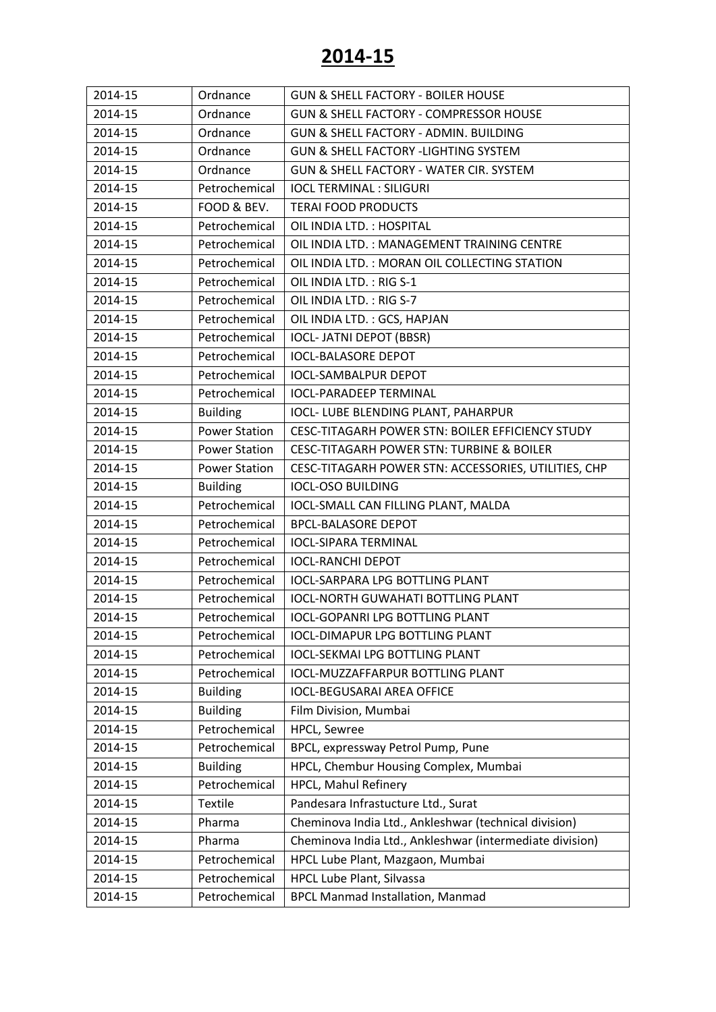| 2014-15 | Ordnance             | <b>GUN &amp; SHELL FACTORY - BOILER HOUSE</b>            |
|---------|----------------------|----------------------------------------------------------|
| 2014-15 | Ordnance             | GUN & SHELL FACTORY - COMPRESSOR HOUSE                   |
| 2014-15 | Ordnance             | GUN & SHELL FACTORY - ADMIN. BUILDING                    |
| 2014-15 | Ordnance             | <b>GUN &amp; SHELL FACTORY -LIGHTING SYSTEM</b>          |
| 2014-15 | Ordnance             | GUN & SHELL FACTORY - WATER CIR. SYSTEM                  |
| 2014-15 | Petrochemical        | <b>IOCL TERMINAL: SILIGURI</b>                           |
| 2014-15 | FOOD & BEV.          | <b>TERAI FOOD PRODUCTS</b>                               |
| 2014-15 | Petrochemical        | OIL INDIA LTD.: HOSPITAL                                 |
| 2014-15 | Petrochemical        | OIL INDIA LTD.: MANAGEMENT TRAINING CENTRE               |
| 2014-15 | Petrochemical        | OIL INDIA LTD. : MORAN OIL COLLECTING STATION            |
| 2014-15 | Petrochemical        | OIL INDIA LTD.: RIG S-1                                  |
| 2014-15 | Petrochemical        | OIL INDIA LTD.: RIG S-7                                  |
| 2014-15 | Petrochemical        | OIL INDIA LTD.: GCS, HAPJAN                              |
| 2014-15 | Petrochemical        | <b>IOCL- JATNI DEPOT (BBSR)</b>                          |
| 2014-15 | Petrochemical        | <b>IOCL-BALASORE DEPOT</b>                               |
| 2014-15 | Petrochemical        | <b>IOCL-SAMBALPUR DEPOT</b>                              |
| 2014-15 | Petrochemical        | <b>IOCL-PARADEEP TERMINAL</b>                            |
| 2014-15 | <b>Building</b>      | IOCL- LUBE BLENDING PLANT, PAHARPUR                      |
| 2014-15 | <b>Power Station</b> | CESC-TITAGARH POWER STN: BOILER EFFICIENCY STUDY         |
| 2014-15 | <b>Power Station</b> | <b>CESC-TITAGARH POWER STN: TURBINE &amp; BOILER</b>     |
| 2014-15 | <b>Power Station</b> | CESC-TITAGARH POWER STN: ACCESSORIES, UTILITIES, CHP     |
| 2014-15 | <b>Building</b>      | <b>IOCL-OSO BUILDING</b>                                 |
| 2014-15 | Petrochemical        | IOCL-SMALL CAN FILLING PLANT, MALDA                      |
| 2014-15 | Petrochemical        | <b>BPCL-BALASORE DEPOT</b>                               |
| 2014-15 | Petrochemical        | <b>IOCL-SIPARA TERMINAL</b>                              |
| 2014-15 | Petrochemical        | <b>IOCL-RANCHI DEPOT</b>                                 |
| 2014-15 | Petrochemical        | <b>IOCL-SARPARA LPG BOTTLING PLANT</b>                   |
| 2014-15 | Petrochemical        | <b>IOCL-NORTH GUWAHATI BOTTLING PLANT</b>                |
| 2014-15 | Petrochemical        | <b>IOCL-GOPANRI LPG BOTTLING PLANT</b>                   |
| 2014-15 | Petrochemical        | <b>IOCL-DIMAPUR LPG BOTTLING PLANT</b>                   |
| 2014-15 | Petrochemical        | <b>IOCL-SEKMAI LPG BOTTLING PLANT</b>                    |
| 2014-15 | Petrochemical        | IOCL-MUZZAFFARPUR BOTTLING PLANT                         |
| 2014-15 | <b>Building</b>      | <b>IOCL-BEGUSARAI AREA OFFICE</b>                        |
| 2014-15 | <b>Building</b>      | Film Division, Mumbai                                    |
| 2014-15 | Petrochemical        | HPCL, Sewree                                             |
| 2014-15 | Petrochemical        | BPCL, expressway Petrol Pump, Pune                       |
| 2014-15 | <b>Building</b>      | HPCL, Chembur Housing Complex, Mumbai                    |
| 2014-15 | Petrochemical        | HPCL, Mahul Refinery                                     |
| 2014-15 | <b>Textile</b>       | Pandesara Infrastucture Ltd., Surat                      |
| 2014-15 | Pharma               | Cheminova India Ltd., Ankleshwar (technical division)    |
| 2014-15 | Pharma               | Cheminova India Ltd., Ankleshwar (intermediate division) |
| 2014-15 | Petrochemical        | HPCL Lube Plant, Mazgaon, Mumbai                         |
| 2014-15 | Petrochemical        | HPCL Lube Plant, Silvassa                                |
| 2014-15 | Petrochemical        | <b>BPCL Manmad Installation, Manmad</b>                  |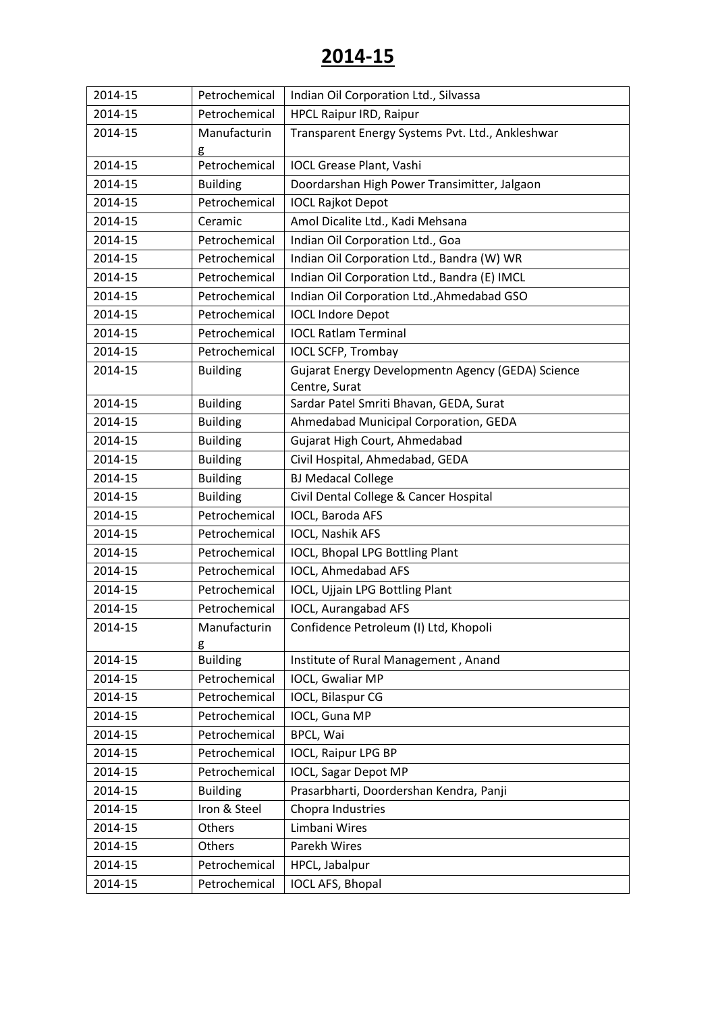| 2014-15 | Petrochemical   | Indian Oil Corporation Ltd., Silvassa                              |
|---------|-----------------|--------------------------------------------------------------------|
| 2014-15 | Petrochemical   | <b>HPCL Raipur IRD, Raipur</b>                                     |
| 2014-15 | Manufacturin    | Transparent Energy Systems Pvt. Ltd., Ankleshwar                   |
|         | g               |                                                                    |
| 2014-15 | Petrochemical   | <b>IOCL Grease Plant, Vashi</b>                                    |
| 2014-15 | <b>Building</b> | Doordarshan High Power Transimitter, Jalgaon                       |
| 2014-15 | Petrochemical   | <b>IOCL Rajkot Depot</b>                                           |
| 2014-15 | Ceramic         | Amol Dicalite Ltd., Kadi Mehsana                                   |
| 2014-15 | Petrochemical   | Indian Oil Corporation Ltd., Goa                                   |
| 2014-15 | Petrochemical   | Indian Oil Corporation Ltd., Bandra (W) WR                         |
| 2014-15 | Petrochemical   | Indian Oil Corporation Ltd., Bandra (E) IMCL                       |
| 2014-15 | Petrochemical   | Indian Oil Corporation Ltd., Ahmedabad GSO                         |
| 2014-15 | Petrochemical   | <b>IOCL Indore Depot</b>                                           |
| 2014-15 | Petrochemical   | <b>IOCL Ratlam Terminal</b>                                        |
| 2014-15 | Petrochemical   | <b>IOCL SCFP, Trombay</b>                                          |
| 2014-15 | <b>Building</b> | Gujarat Energy Developmentn Agency (GEDA) Science<br>Centre, Surat |
| 2014-15 | <b>Building</b> | Sardar Patel Smriti Bhavan, GEDA, Surat                            |
| 2014-15 | <b>Building</b> | Ahmedabad Municipal Corporation, GEDA                              |
| 2014-15 | <b>Building</b> | Gujarat High Court, Ahmedabad                                      |
| 2014-15 | <b>Building</b> | Civil Hospital, Ahmedabad, GEDA                                    |
| 2014-15 | <b>Building</b> | <b>BJ Medacal College</b>                                          |
| 2014-15 | <b>Building</b> | Civil Dental College & Cancer Hospital                             |
| 2014-15 | Petrochemical   | IOCL, Baroda AFS                                                   |
| 2014-15 | Petrochemical   | IOCL, Nashik AFS                                                   |
| 2014-15 | Petrochemical   | IOCL, Bhopal LPG Bottling Plant                                    |
| 2014-15 | Petrochemical   | <b>IOCL, Ahmedabad AFS</b>                                         |
| 2014-15 | Petrochemical   | IOCL, Ujjain LPG Bottling Plant                                    |
| 2014-15 | Petrochemical   | IOCL, Aurangabad AFS                                               |
| 2014-15 | Manufacturin    | Confidence Petroleum (I) Ltd, Khopoli                              |
|         | g               |                                                                    |
| 2014-15 | <b>Building</b> | Institute of Rural Management, Anand                               |
| 2014-15 | Petrochemical   | IOCL, Gwaliar MP                                                   |
| 2014-15 | Petrochemical   | IOCL, Bilaspur CG                                                  |
| 2014-15 | Petrochemical   | IOCL, Guna MP                                                      |
| 2014-15 | Petrochemical   | BPCL, Wai                                                          |
| 2014-15 | Petrochemical   | IOCL, Raipur LPG BP                                                |
| 2014-15 | Petrochemical   | <b>IOCL, Sagar Depot MP</b>                                        |
| 2014-15 | <b>Building</b> | Prasarbharti, Doordershan Kendra, Panji                            |
| 2014-15 | Iron & Steel    | Chopra Industries                                                  |
| 2014-15 | Others          | Limbani Wires                                                      |
| 2014-15 | Others          | Parekh Wires                                                       |
| 2014-15 | Petrochemical   | HPCL, Jabalpur                                                     |
| 2014-15 | Petrochemical   | IOCL AFS, Bhopal                                                   |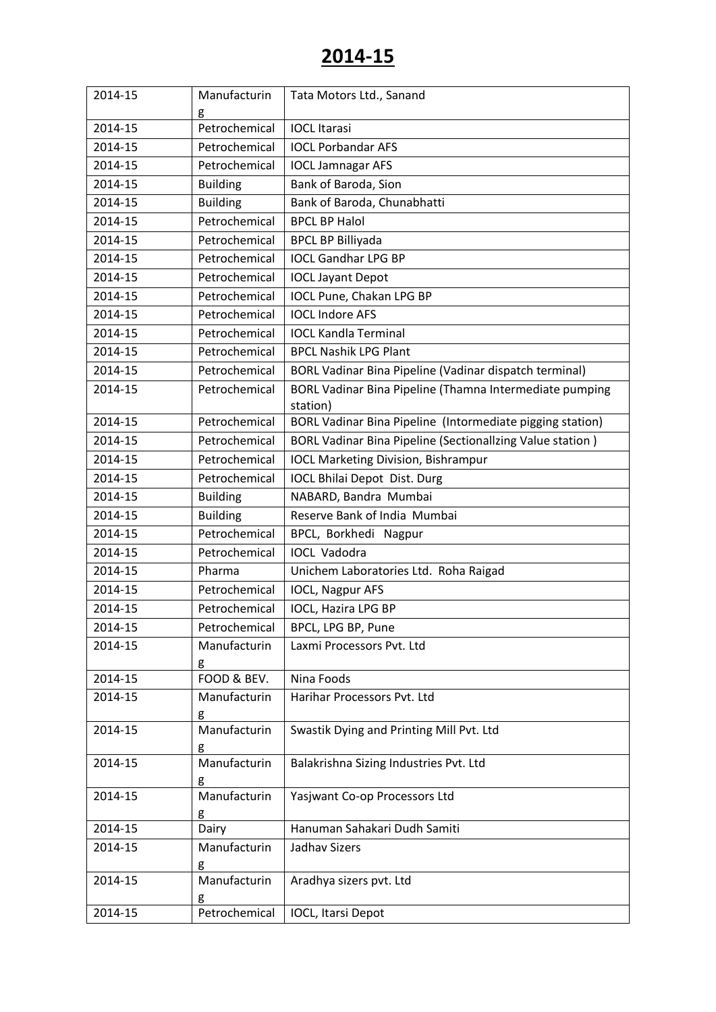| 2014-15 | Manufacturin      | Tata Motors Ltd., Sanand                                            |
|---------|-------------------|---------------------------------------------------------------------|
|         | g                 |                                                                     |
| 2014-15 | Petrochemical     | <b>IOCL Itarasi</b>                                                 |
| 2014-15 | Petrochemical     | <b>IOCL Porbandar AFS</b>                                           |
| 2014-15 | Petrochemical     | <b>IOCL Jamnagar AFS</b>                                            |
| 2014-15 | <b>Building</b>   | Bank of Baroda, Sion                                                |
| 2014-15 | <b>Building</b>   | Bank of Baroda, Chunabhatti                                         |
| 2014-15 | Petrochemical     | <b>BPCL BP Halol</b>                                                |
| 2014-15 | Petrochemical     | <b>BPCL BP Billiyada</b>                                            |
| 2014-15 | Petrochemical     | <b>IOCL Gandhar LPG BP</b>                                          |
| 2014-15 | Petrochemical     | <b>IOCL Jayant Depot</b>                                            |
| 2014-15 | Petrochemical     | IOCL Pune, Chakan LPG BP                                            |
| 2014-15 | Petrochemical     | <b>IOCL Indore AFS</b>                                              |
| 2014-15 | Petrochemical     | <b>IOCL Kandla Terminal</b>                                         |
| 2014-15 | Petrochemical     | <b>BPCL Nashik LPG Plant</b>                                        |
| 2014-15 | Petrochemical     | BORL Vadinar Bina Pipeline (Vadinar dispatch terminal)              |
| 2014-15 | Petrochemical     | BORL Vadinar Bina Pipeline (Thamna Intermediate pumping<br>station) |
| 2014-15 | Petrochemical     | BORL Vadinar Bina Pipeline (Intormediate pigging station)           |
| 2014-15 | Petrochemical     | BORL Vadinar Bina Pipeline (Sectionallzing Value station)           |
| 2014-15 | Petrochemical     | <b>IOCL Marketing Division, Bishrampur</b>                          |
| 2014-15 | Petrochemical     | <b>IOCL Bhilai Depot Dist. Durg</b>                                 |
| 2014-15 | <b>Building</b>   | NABARD, Bandra Mumbai                                               |
| 2014-15 | <b>Building</b>   | Reserve Bank of India Mumbai                                        |
| 2014-15 | Petrochemical     | BPCL, Borkhedi Nagpur                                               |
| 2014-15 | Petrochemical     | <b>IOCL Vadodra</b>                                                 |
| 2014-15 | Pharma            | Unichem Laboratories Ltd. Roha Raigad                               |
| 2014-15 | Petrochemical     | IOCL, Nagpur AFS                                                    |
| 2014-15 | Petrochemical     | IOCL, Hazira LPG BP                                                 |
| 2014-15 | Petrochemical     | BPCL, LPG BP, Pune                                                  |
| 2014-15 | Manufacturin      | Laxmi Processors Pvt. Ltd                                           |
| 2014-15 | g<br>FOOD & BEV.  | Nina Foods                                                          |
| 2014-15 | Manufacturin      | Harihar Processors Pvt. Ltd                                         |
|         | g                 |                                                                     |
| 2014-15 | Manufacturin      | Swastik Dying and Printing Mill Pvt. Ltd                            |
|         | g                 |                                                                     |
| 2014-15 | Manufacturin      | Balakrishna Sizing Industries Pvt. Ltd                              |
|         | g                 |                                                                     |
| 2014-15 | Manufacturin<br>g | Yasjwant Co-op Processors Ltd                                       |
| 2014-15 | Dairy             | Hanuman Sahakari Dudh Samiti                                        |
| 2014-15 | Manufacturin      | <b>Jadhav Sizers</b>                                                |
|         | g                 |                                                                     |
| 2014-15 | Manufacturin      | Aradhya sizers pvt. Ltd                                             |
|         | g                 |                                                                     |
| 2014-15 | Petrochemical     | IOCL, Itarsi Depot                                                  |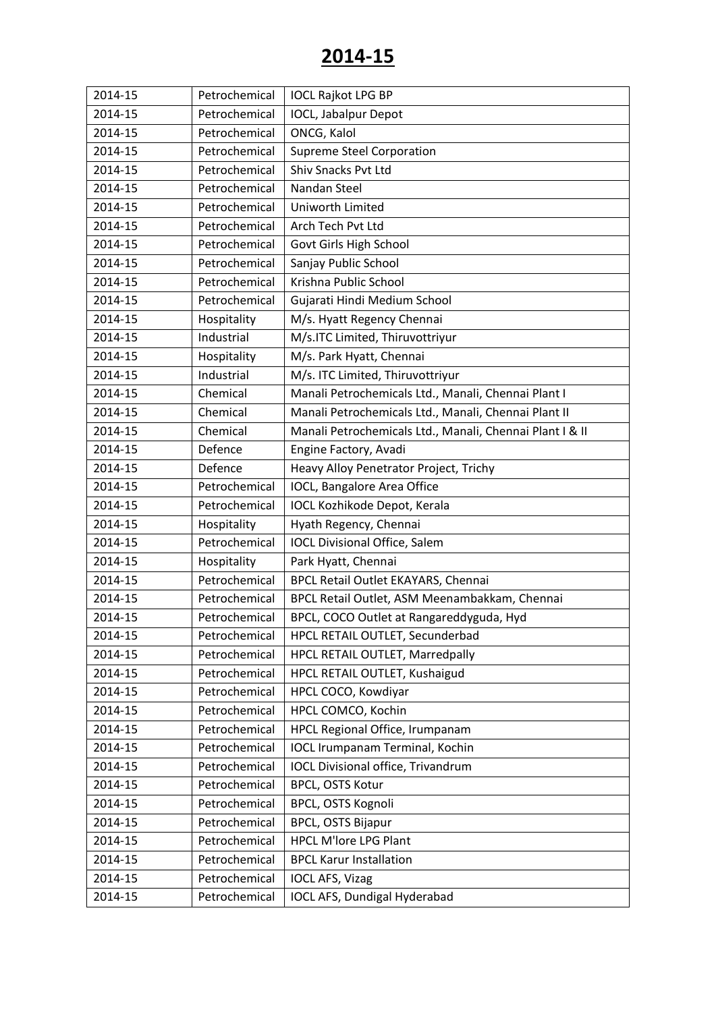| 2014-15 | Petrochemical | <b>IOCL Rajkot LPG BP</b>                                |
|---------|---------------|----------------------------------------------------------|
| 2014-15 | Petrochemical | IOCL, Jabalpur Depot                                     |
| 2014-15 | Petrochemical | ONCG, Kalol                                              |
| 2014-15 | Petrochemical | <b>Supreme Steel Corporation</b>                         |
| 2014-15 | Petrochemical | Shiv Snacks Pvt Ltd                                      |
| 2014-15 | Petrochemical | Nandan Steel                                             |
| 2014-15 | Petrochemical | Uniworth Limited                                         |
| 2014-15 | Petrochemical | Arch Tech Pvt Ltd                                        |
| 2014-15 | Petrochemical | Govt Girls High School                                   |
| 2014-15 | Petrochemical | Sanjay Public School                                     |
| 2014-15 | Petrochemical | Krishna Public School                                    |
| 2014-15 | Petrochemical | Gujarati Hindi Medium School                             |
| 2014-15 | Hospitality   | M/s. Hyatt Regency Chennai                               |
| 2014-15 | Industrial    | M/s.ITC Limited, Thiruvottriyur                          |
| 2014-15 | Hospitality   | M/s. Park Hyatt, Chennai                                 |
| 2014-15 | Industrial    | M/s. ITC Limited, Thiruvottriyur                         |
| 2014-15 | Chemical      | Manali Petrochemicals Ltd., Manali, Chennai Plant I      |
| 2014-15 | Chemical      | Manali Petrochemicals Ltd., Manali, Chennai Plant II     |
| 2014-15 | Chemical      | Manali Petrochemicals Ltd., Manali, Chennai Plant I & II |
| 2014-15 | Defence       | Engine Factory, Avadi                                    |
| 2014-15 | Defence       | Heavy Alloy Penetrator Project, Trichy                   |
| 2014-15 | Petrochemical | IOCL, Bangalore Area Office                              |
| 2014-15 | Petrochemical | <b>IOCL Kozhikode Depot, Kerala</b>                      |
| 2014-15 | Hospitality   | Hyath Regency, Chennai                                   |
| 2014-15 | Petrochemical | <b>IOCL Divisional Office, Salem</b>                     |
| 2014-15 | Hospitality   | Park Hyatt, Chennai                                      |
| 2014-15 | Petrochemical | BPCL Retail Outlet EKAYARS, Chennai                      |
| 2014-15 | Petrochemical | BPCL Retail Outlet, ASM Meenambakkam, Chennai            |
| 2014-15 | Petrochemical | BPCL, COCO Outlet at Rangareddyguda, Hyd                 |
| 2014-15 | Petrochemical | HPCL RETAIL OUTLET, Secunderbad                          |
| 2014-15 | Petrochemical | HPCL RETAIL OUTLET, Marredpally                          |
| 2014-15 | Petrochemical | HPCL RETAIL OUTLET, Kushaigud                            |
| 2014-15 | Petrochemical | HPCL COCO, Kowdiyar                                      |
| 2014-15 | Petrochemical | HPCL COMCO, Kochin                                       |
| 2014-15 | Petrochemical | HPCL Regional Office, Irumpanam                          |
| 2014-15 | Petrochemical | <b>IOCL Irumpanam Terminal, Kochin</b>                   |
| 2014-15 | Petrochemical | <b>IOCL Divisional office, Trivandrum</b>                |
| 2014-15 | Petrochemical | BPCL, OSTS Kotur                                         |
| 2014-15 | Petrochemical | BPCL, OSTS Kognoli                                       |
| 2014-15 | Petrochemical | BPCL, OSTS Bijapur                                       |
| 2014-15 | Petrochemical | <b>HPCL M'lore LPG Plant</b>                             |
| 2014-15 | Petrochemical | <b>BPCL Karur Installation</b>                           |
| 2014-15 | Petrochemical | <b>IOCL AFS, Vizag</b>                                   |
| 2014-15 | Petrochemical | IOCL AFS, Dundigal Hyderabad                             |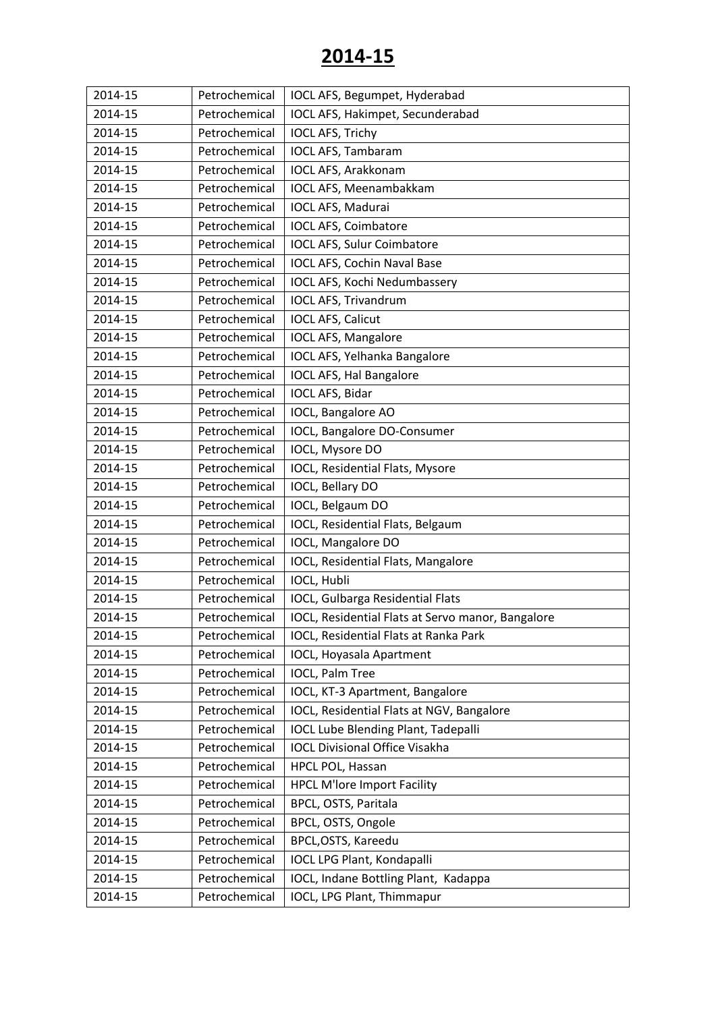| 2014-15 | Petrochemical | IOCL AFS, Begumpet, Hyderabad                     |
|---------|---------------|---------------------------------------------------|
| 2014-15 | Petrochemical | IOCL AFS, Hakimpet, Secunderabad                  |
| 2014-15 | Petrochemical | <b>IOCL AFS, Trichy</b>                           |
| 2014-15 | Petrochemical | IOCL AFS, Tambaram                                |
| 2014-15 | Petrochemical | <b>IOCL AFS, Arakkonam</b>                        |
| 2014-15 | Petrochemical | IOCL AFS, Meenambakkam                            |
| 2014-15 | Petrochemical | IOCL AFS, Madurai                                 |
| 2014-15 | Petrochemical | <b>IOCL AFS, Coimbatore</b>                       |
| 2014-15 | Petrochemical | IOCL AFS, Sulur Coimbatore                        |
| 2014-15 | Petrochemical | <b>IOCL AFS, Cochin Naval Base</b>                |
| 2014-15 | Petrochemical | IOCL AFS, Kochi Nedumbassery                      |
| 2014-15 | Petrochemical | <b>IOCL AFS, Trivandrum</b>                       |
| 2014-15 | Petrochemical | <b>IOCL AFS, Calicut</b>                          |
| 2014-15 | Petrochemical | <b>IOCL AFS, Mangalore</b>                        |
| 2014-15 | Petrochemical | IOCL AFS, Yelhanka Bangalore                      |
| 2014-15 | Petrochemical | <b>IOCL AFS, Hal Bangalore</b>                    |
| 2014-15 | Petrochemical | IOCL AFS, Bidar                                   |
| 2014-15 | Petrochemical | IOCL, Bangalore AO                                |
| 2014-15 | Petrochemical | IOCL, Bangalore DO-Consumer                       |
| 2014-15 | Petrochemical | IOCL, Mysore DO                                   |
| 2014-15 | Petrochemical | IOCL, Residential Flats, Mysore                   |
| 2014-15 | Petrochemical | IOCL, Bellary DO                                  |
| 2014-15 | Petrochemical | IOCL, Belgaum DO                                  |
| 2014-15 | Petrochemical | IOCL, Residential Flats, Belgaum                  |
| 2014-15 | Petrochemical | IOCL, Mangalore DO                                |
| 2014-15 | Petrochemical | IOCL, Residential Flats, Mangalore                |
| 2014-15 | Petrochemical | IOCL, Hubli                                       |
| 2014-15 | Petrochemical | IOCL, Gulbarga Residential Flats                  |
| 2014-15 | Petrochemical | IOCL, Residential Flats at Servo manor, Bangalore |
| 2014-15 | Petrochemical | IOCL, Residential Flats at Ranka Park             |
| 2014-15 | Petrochemical | <b>IOCL, Hoyasala Apartment</b>                   |
| 2014-15 | Petrochemical | IOCL, Palm Tree                                   |
| 2014-15 | Petrochemical | IOCL, KT-3 Apartment, Bangalore                   |
| 2014-15 | Petrochemical | IOCL, Residential Flats at NGV, Bangalore         |
| 2014-15 | Petrochemical | <b>IOCL Lube Blending Plant, Tadepalli</b>        |
| 2014-15 | Petrochemical | <b>IOCL Divisional Office Visakha</b>             |
| 2014-15 | Petrochemical | HPCL POL, Hassan                                  |
| 2014-15 | Petrochemical | <b>HPCL M'lore Import Facility</b>                |
| 2014-15 | Petrochemical | BPCL, OSTS, Paritala                              |
| 2014-15 | Petrochemical | BPCL, OSTS, Ongole                                |
| 2014-15 | Petrochemical | BPCL, OSTS, Kareedu                               |
| 2014-15 | Petrochemical | <b>IOCL LPG Plant, Kondapalli</b>                 |
| 2014-15 | Petrochemical | IOCL, Indane Bottling Plant, Kadappa              |
| 2014-15 | Petrochemical | IOCL, LPG Plant, Thimmapur                        |